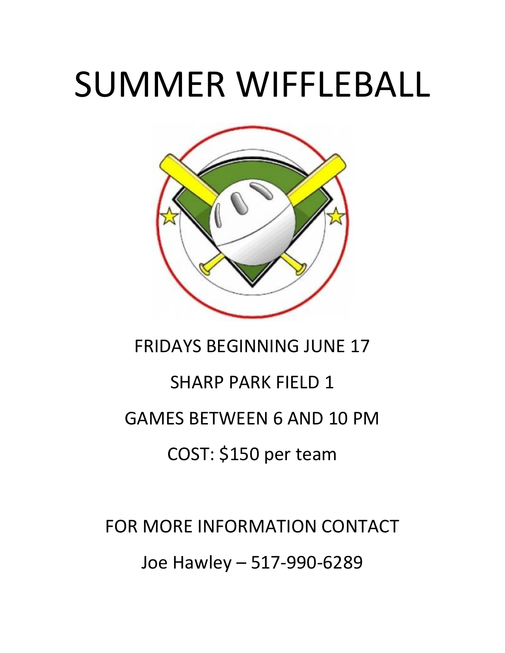# SUMMER WIFFLEBALL



### FRIDAYS BEGINNING JUNE 17

## SHARP PARK FIELD 1 GAMES BETWEEN 6 AND 10 PM COST: \$150 per team

FOR MORE INFORMATION CONTACT Joe Hawley – 517-990-6289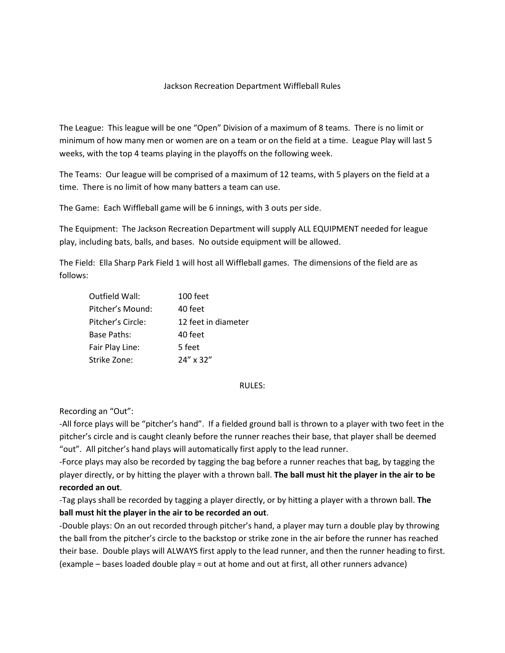#### Jackson Recreation Department Wiffleball Rules

The League: This league will be one "Open" Division of a maximum of 8 teams. There is no limit or minimum of how many men or women are on a team or on the field at a time. League Play will last 5 weeks, with the top 4 teams playing in the playoffs on the following week.

The Teams: Our league will be comprised of a maximum of 12 teams, with 5 players on the field at a time. There is no limit of how many batters a team can use.

The Game: Each Wiffleball game will be 6 innings, with 3 outs per side.

The Equipment: The Jackson Recreation Department will supply ALL EQUIPMENT needed for league play, including bats, balls, and bases. No outside equipment will be allowed.

The Field: Ella Sharp Park Field 1 will host all Wiffleball games. The dimensions of the field are as follows:

| Outfield Wall:    | 100 feet            |  |
|-------------------|---------------------|--|
| Pitcher's Mound:  | 40 feet             |  |
| Pitcher's Circle: | 12 feet in diameter |  |
| Base Paths:       | 40 feet             |  |
| Fair Play Line:   | 5 feet              |  |
| Strike Zone:      | 24" x 32"           |  |

#### RULES:

Recording an "Out":

-All force plays will be "pitcher's hand". If a fielded ground ball is thrown to a player with two feet in the pitcher's circle and is caught cleanly before the runner reaches their base, that player shall be deemed "out". All pitcher's hand plays will automatically first apply to the lead runner.

-Force plays may also be recorded by tagging the bag before a runner reaches that bag, by tagging the player directly, or by hitting the player with a thrown ball. **The ball must hit the player in the air to be recorded an out**.

-Tag plays shall be recorded by tagging a player directly, or by hitting a player with a thrown ball. **The ball must hit the player in the air to be recorded an out**.

-Double plays: On an out recorded through pitcher's hand, a player may turn a double play by throwing the ball from the pitcher's circle to the backstop or strike zone in the air before the runner has reached their base. Double plays will ALWAYS first apply to the lead runner, and then the runner heading to first. (example – bases loaded double play = out at home and out at first, all other runners advance)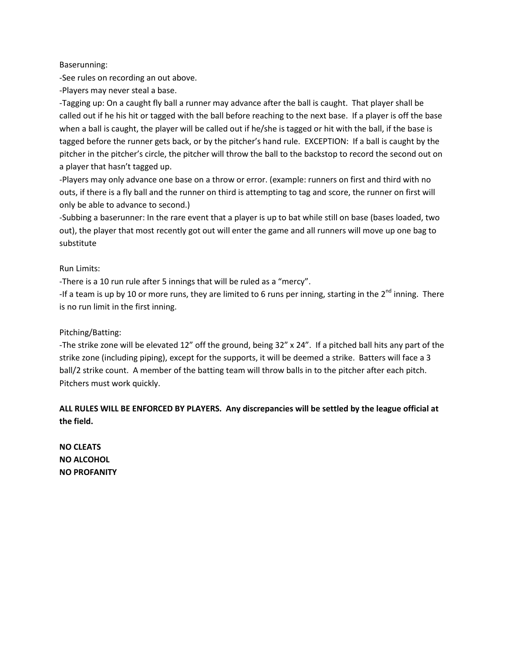#### Baserunning:

-See rules on recording an out above.

-Players may never steal a base.

-Tagging up: On a caught fly ball a runner may advance after the ball is caught. That player shall be called out if he his hit or tagged with the ball before reaching to the next base. If a player is off the base when a ball is caught, the player will be called out if he/she is tagged or hit with the ball, if the base is tagged before the runner gets back, or by the pitcher's hand rule. EXCEPTION: If a ball is caught by the pitcher in the pitcher's circle, the pitcher will throw the ball to the backstop to record the second out on a player that hasn't tagged up.

-Players may only advance one base on a throw or error. (example: runners on first and third with no outs, if there is a fly ball and the runner on third is attempting to tag and score, the runner on first will only be able to advance to second.)

-Subbing a baserunner: In the rare event that a player is up to bat while still on base (bases loaded, two out), the player that most recently got out will enter the game and all runners will move up one bag to substitute

#### Run Limits:

-There is a 10 run rule after 5 innings that will be ruled as a "mercy".

-If a team is up by 10 or more runs, they are limited to 6 runs per inning, starting in the  $2^{nd}$  inning. There is no run limit in the first inning.

#### Pitching/Batting:

-The strike zone will be elevated 12" off the ground, being 32" x 24". If a pitched ball hits any part of the strike zone (including piping), except for the supports, it will be deemed a strike. Batters will face a 3 ball/2 strike count. A member of the batting team will throw balls in to the pitcher after each pitch. Pitchers must work quickly.

#### **ALL RULES WILL BE ENFORCED BY PLAYERS. Any discrepancies will be settled by the league official at the field.**

**NO CLEATS NO ALCOHOL NO PROFANITY**